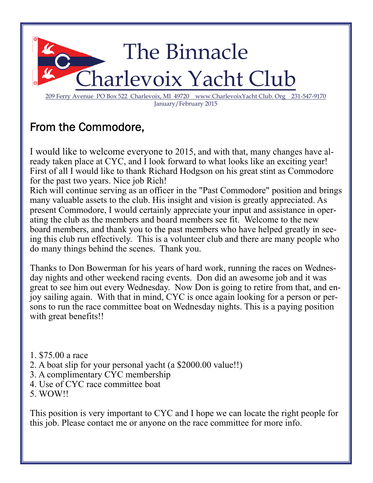

# From the Commodore,

I would like to welcome everyone to 2015, and with that, many changes have already taken place at CYC, and I look forward to what looks like an exciting year! First of all I would like to thank Richard Hodgson on his great stint as Commodore for the past two years. Nice job Rich!

Rich will continue serving as an officer in the "Past Commodore" position and brings many valuable assets to the club. His insight and vision is greatly appreciated. As present Commodore, I would certainly appreciate your input and assistance in operating the club as the members and board members see fit. Welcome to the new board members, and thank you to the past members who have helped greatly in seeing this club run effectively. This is a volunteer club and there are many people who do many things behind the scenes. Thank you.

Thanks to Don Bowerman for his years of hard work, running the races on Wednesday nights and other weekend racing events. Don did an awesome job and it was great to see him out every Wednesday. Now Don is going to retire from that, and enjoy sailing again. With that in mind, CYC is once again looking for a person or persons to run the race committee boat on Wednesday nights. This is a paying position with great benefits!!

- 1. \$75.00 a race
- 2. A boat slip for your personal yacht (a \$2000.00 value!!)
- 3. A complimentary CYC membership
- 4. Use of CYC race committee boat
- 5. WOW!!

This position is very important to CYC and I hope we can locate the right people for this job. Please contact me or anyone on the race committee for more info.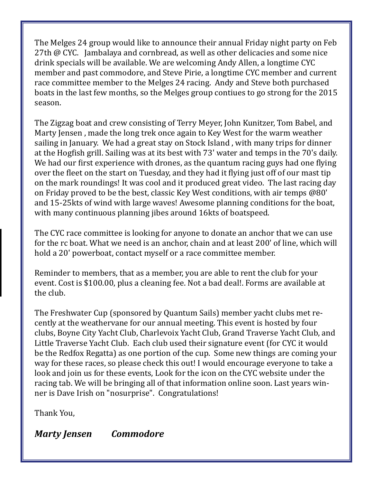The Melges 24 group would like to announce their annual Friday night party on Feb 27th @ CYC. Jambalaya and cornbread, as well as other delicacies and some nice drink specials will be available. We are welcoming Andy Allen, a longtime CYC member and past commodore, and Steve Pirie, a longtime CYC member and current race committee member to the Melges 24 racing. Andy and Steve both purchased boats in the last few months, so the Melges group contiues to go strong for the 2015 season. 

The Zigzag boat and crew consisting of Terry Meyer, John Kunitzer, Tom Babel, and Marty Jensen, made the long trek once again to Key West for the warm weather sailing in January. We had a great stay on Stock Island, with many trips for dinner at the Hogfish grill. Sailing was at its best with 73' water and temps in the 70's daily. We had our first experience with drones, as the quantum racing guys had one flying over the fleet on the start on Tuesday, and they had it flying just off of our mast tip on the mark roundings! It was cool and it produced great video. The last racing day on Friday proved to be the best, classic Key West conditions, with air temps @80' and 15-25kts of wind with large waves! Awesome planning conditions for the boat, with many continuous planning jibes around 16kts of boatspeed.

The CYC race committee is looking for anyone to donate an anchor that we can use for the rc boat. What we need is an anchor, chain and at least 200' of line, which will hold a 20' powerboat, contact myself or a race committee member.

Reminder to members, that as a member, you are able to rent the club for your event. Cost is \$100.00, plus a cleaning fee. Not a bad deal!. Forms are available at the club.

The Freshwater Cup (sponsored by Quantum Sails) member vacht clubs met recently at the weathervane for our annual meeting. This event is hosted by four clubs, Boyne City Yacht Club, Charlevoix Yacht Club, Grand Traverse Yacht Club, and Little Traverse Yacht Club. Each club used their signature event (for CYC it would be the Redfox Regatta) as one portion of the cup. Some new things are coming your way for these races, so please check this out! I would encourage everyone to take a look and join us for these events, Look for the icon on the CYC website under the racing tab. We will be bringing all of that information online soon. Last years winner is Dave Irish on "nosurprise". Congratulations!

Thank You, 

*Marty Jensen Commodore*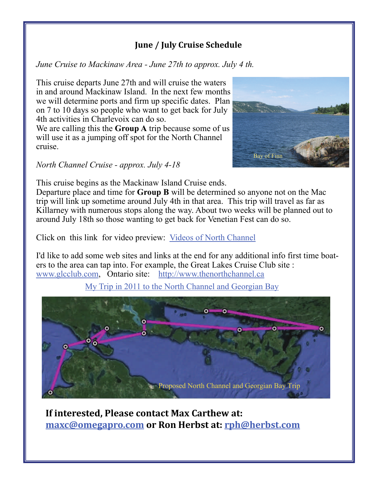# **June / July Cruise Schedule**

*June Cruise to Mackinaw Area - June 27th to approx. July 4 th.* 

This cruise departs June 27th and will cruise the waters in and around Mackinaw Island. In the next few months we will determine ports and firm up specific dates. Plan on 7 to 10 days so people who want to get back for July 4th activities in Charlevoix can do so.

We are calling this the **Group A** trip because some of us will use it as a jumping off spot for the North Channel cruise.

*North Channel Cruise - approx. July 4-18* 

This cruise begins as the Mackinaw Island Cruise ends.

Departure place and time for **Group B** will be determined so anyone not on the Mac trip will link up sometime around July 4th in that area. This trip will travel as far as Killarney with numerous stops along the way. About two weeks will be planned out to around July 18th so those wanting to get back for Venetian Fest can do so.

Click on this link for video preview: [Videos of North Channel](https://www.youtube.com/watch?v=Xm_OZ9iIIN4&index=1&list=PLFD61AF9C7B34DECC)

I'd like to add some web sites and links at the end for any additional info first time boaters to the area can tap into. For example, the Great Lakes Cruise Club site : [www.glcclub.com](http://www.glcclub.com), Ontario site: <http://www.thenorthchannel.ca>

[My Trip in 2011 to the North Channel and Georgian Bay](https://www.dropbox.com/s/ptqislqe83g31oy/gb%20intro.avi?dl=0C:\Users\rpherbst\Documents\2%20Laurel%20Point,%20Huntington,%20WV%2025705%20to%20Arborview%20Dr,%20Traverse%20City,%20MI%2049685%20-%20Google%20Maps_files)



**If interested, Please contact Max Carthew at: [maxc@omegapro.com](mailto:maxc@omegapro.com) or Ron Herbst at: [rph@herbst.com](mailto:rph@herbst.com)**

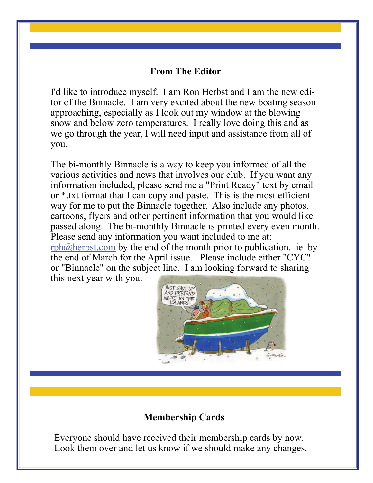## **From The Editor**

I'd like to introduce myself. I am Ron Herbst and I am the new editor of the Binnacle. I am very excited about the new boating season approaching, especially as I look out my window at the blowing snow and below zero temperatures. I really love doing this and as we go through the year, I will need input and assistance from all of you.

The bi-monthly Binnacle is a way to keep you informed of all the various activities and news that involves our club. If you want any information included, please send me a "Print Ready" text by email or \*.txt format that I can copy and paste. This is the most efficient way for me to put the Binnacle together. Also include any photos, cartoons, flyers and other pertinent information that you would like passed along. The bi-monthly Binnacle is printed every even month. Please send any information you want included to me at:

 $rph@herbst.com$  by the end of the month prior to publication. ie by the end of March for the April issue. Please include either "CYC" or "Binnacle" on the subject line. I am looking forward to sharing this next year with you.



# **Membership Cards**

Everyone should have received their membership cards by now. Look them over and let us know if we should make any changes.